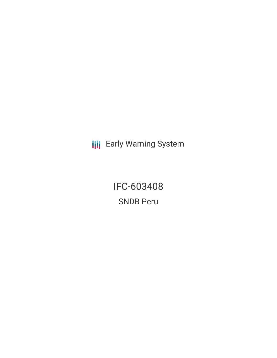**III** Early Warning System

IFC-603408 SNDB Peru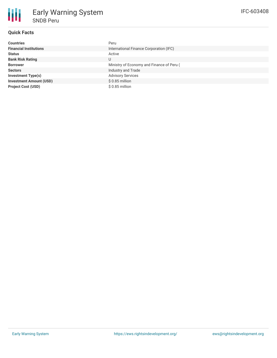

### **Quick Facts**

| <b>Countries</b>               | Peru                                      |
|--------------------------------|-------------------------------------------|
| <b>Financial Institutions</b>  | International Finance Corporation (IFC)   |
| <b>Status</b>                  | Active                                    |
| <b>Bank Risk Rating</b>        | U                                         |
| <b>Borrower</b>                | Ministry of Economy and Finance of Peru ( |
| <b>Sectors</b>                 | Industry and Trade                        |
| <b>Investment Type(s)</b>      | <b>Advisory Services</b>                  |
| <b>Investment Amount (USD)</b> | $$0.85$ million                           |
| <b>Project Cost (USD)</b>      | $$0.85$ million                           |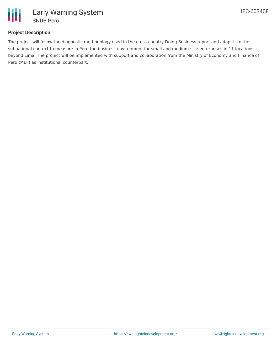

# **Project Description**

The project will follow the diagnostic methodology used in the cross-country Doing Business report and adapt it to the subnational context to measure in Peru the business environment for small and medium-size enterprises in 11 locations beyond Lima. The project will be implemented with support and collaboration from the Ministry of Economy and Finance of Peru (MEF) as institutional counterpart.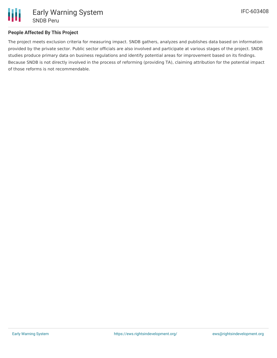

### **People Affected By This Project**

The project meets exclusion criteria for measuring impact. SNDB gathers, analyzes and publishes data based on information provided by the private sector. Public sector officials are also involved and participate at various stages of the project. SNDB studies produce primary data on business regulations and identify potential areas for improvement based on its findings. Because SNDB is not directly involved in the process of reforming (providing TA), claiming attribution for the potential impact of those reforms is not recommendable.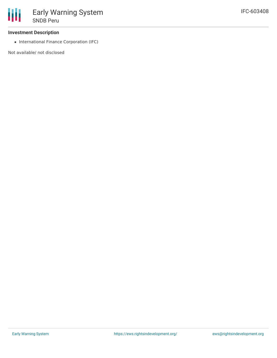

#### **Investment Description**

• International Finance Corporation (IFC)

Not available/ not disclosed